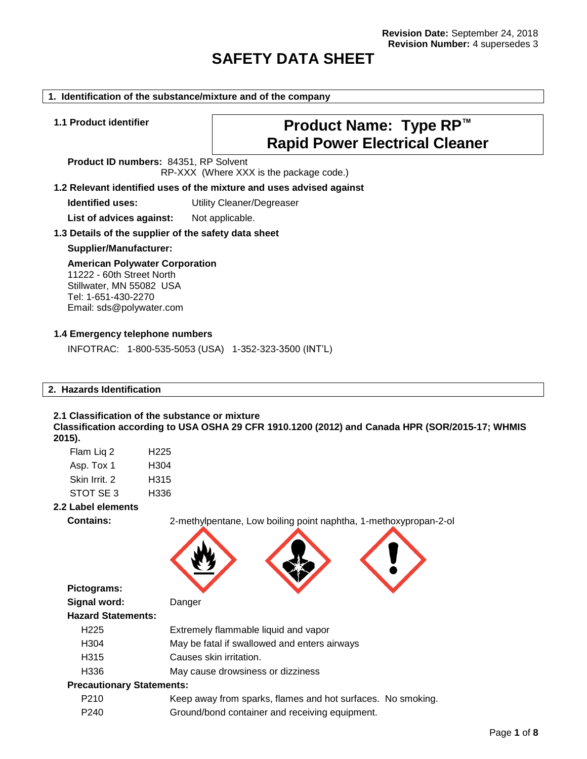# **SAFETY DATA SHEET**

#### **1. Identification of the substance/mixture and of the company**

# **1.1 Product identifier Product Name: Type RP™ Rapid Power Electrical Cleaner**

**Product ID numbers:** 84351, RP Solvent RP-XXX (Where XXX is the package code.)

#### **1.2 Relevant identified uses of the mixture and uses advised against**

**Identified uses:** Utility Cleaner/Degreaser

List of advices against: Not applicable.

#### **1.3 Details of the supplier of the safety data sheet**

#### **Supplier/Manufacturer:**

# **American Polywater Corporation** 11222 - 60th Street North

Stillwater, MN 55082 USA Tel: 1-651-430-2270 Email: sds@polywater.com

#### **1.4 Emergency telephone numbers**

INFOTRAC: 1-800-535-5053 (USA) 1-352-323-3500 (INT'L)

## **2. Hazards Identification**

## **2.1 Classification of the substance or mixture Classification according to USA OSHA 29 CFR 1910.1200 (2012) and Canada HPR (SOR/2015-17; WHMIS 2015).**

| Flam Liq 2    | H <sub>225</sub> |
|---------------|------------------|
| Asp. Tox 1    | H304             |
| Skin Irrit. 2 | H315             |
| STOT SE3      | H336             |
|               |                  |

## **2.2 Label elements**

**Contains:** 2-methylpentane, Low boiling point naphtha, 1-methoxypropan-2-ol



**Pictograms:**

**Signal word:** Danger

| <b>Hazard Statements:</b> |  |
|---------------------------|--|
| $\sqrt{2}$                |  |

- H225 Extremely flammable liquid and vapor
- H304 May be fatal if swallowed and enters airways
- H315 Causes skin irritation.
- H336 May cause drowsiness or dizziness

## **Precautionary Statements:**

- P210 Keep away from sparks, flames and hot surfaces. No smoking.
- P240 Ground/bond container and receiving equipment.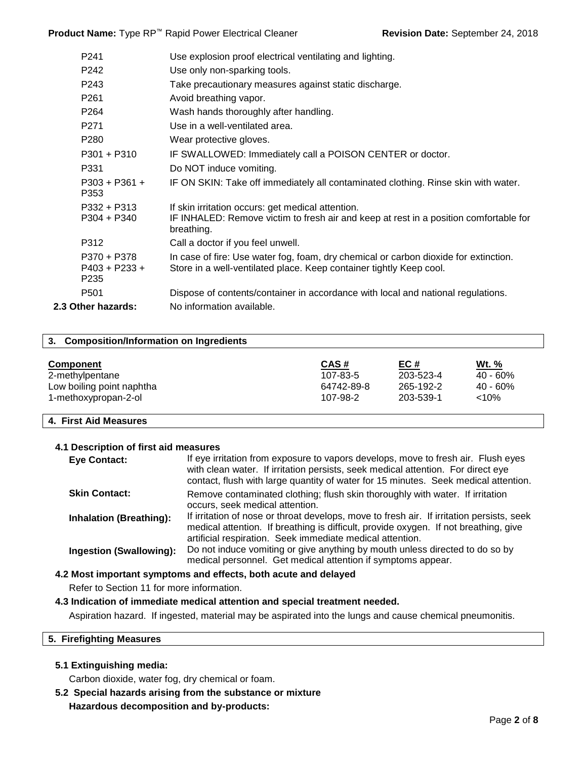Product Name: Type RP<sup>™</sup> Rapid Power Electrical Cleaner **Revision Date: September 24, 2018** 

| P <sub>241</sub>                                   | Use explosion proof electrical ventilating and lighting.                                                                                                    |
|----------------------------------------------------|-------------------------------------------------------------------------------------------------------------------------------------------------------------|
| P242                                               | Use only non-sparking tools.                                                                                                                                |
| P243                                               | Take precautionary measures against static discharge.                                                                                                       |
| P <sub>261</sub>                                   | Avoid breathing vapor.                                                                                                                                      |
| P <sub>264</sub>                                   | Wash hands thoroughly after handling.                                                                                                                       |
| P <sub>271</sub>                                   | Use in a well-ventilated area.                                                                                                                              |
| P280                                               | Wear protective gloves.                                                                                                                                     |
| $P301 + P310$                                      | IF SWALLOWED: Immediately call a POISON CENTER or doctor.                                                                                                   |
| P331                                               | Do NOT induce vomiting.                                                                                                                                     |
| $P303 + P361 +$<br>P353                            | IF ON SKIN: Take off immediately all contaminated clothing. Rinse skin with water.                                                                          |
| $P332 + P313$                                      | If skin irritation occurs: get medical attention.                                                                                                           |
| $P304 + P340$                                      | IF INHALED: Remove victim to fresh air and keep at rest in a position comfortable for<br>breathing.                                                         |
| P312                                               | Call a doctor if you feel unwell.                                                                                                                           |
| P370 + P378<br>$P403 + P233 +$<br>P <sub>235</sub> | In case of fire: Use water fog, foam, dry chemical or carbon dioxide for extinction.<br>Store in a well-ventilated place. Keep container tightly Keep cool. |
| P <sub>501</sub>                                   | Dispose of contents/container in accordance with local and national regulations.                                                                            |
| 2.3 Other hazards:                                 | No information available.                                                                                                                                   |
|                                                    |                                                                                                                                                             |

## **3. Composition/Information on Ingredients**

| Component                 | CAS#       | EC#       | Wt. %       |
|---------------------------|------------|-----------|-------------|
| 2-methylpentane           | 107-83-5   | 203-523-4 | 40 - 60%    |
| Low boiling point naphtha | 64742-89-8 | 265-192-2 | $40 - 60\%$ |
| 1-methoxypropan-2-ol      | 107-98-2   | 203-539-1 | <10%        |

## **4. First Aid Measures**

### **4.1 Description of first aid measures**

| <b>Eye Contact:</b>            | If eye irritation from exposure to vapors develops, move to fresh air. Flush eyes<br>with clean water. If irritation persists, seek medical attention. For direct eye<br>contact, flush with large quantity of water for 15 minutes. Seek medical attention. |
|--------------------------------|--------------------------------------------------------------------------------------------------------------------------------------------------------------------------------------------------------------------------------------------------------------|
| <b>Skin Contact:</b>           | Remove contaminated clothing; flush skin thoroughly with water. If irritation<br>occurs, seek medical attention.                                                                                                                                             |
| <b>Inhalation (Breathing):</b> | If irritation of nose or throat develops, move to fresh air. If irritation persists, seek<br>medical attention. If breathing is difficult, provide oxygen. If not breathing, give<br>artificial respiration. Seek immediate medical attention.               |
| <b>Ingestion (Swallowing):</b> | Do not induce vomiting or give anything by mouth unless directed to do so by<br>medical personnel. Get medical attention if symptoms appear.                                                                                                                 |

## **4.2 Most important symptoms and effects, both acute and delayed**

Refer to Section 11 for more information.

## **4.3 Indication of immediate medical attention and special treatment needed.**

Aspiration hazard. If ingested, material may be aspirated into the lungs and cause chemical pneumonitis.

## **5. Firefighting Measures**

## **5.1 Extinguishing media:**

Carbon dioxide, water fog, dry chemical or foam.

**5.2 Special hazards arising from the substance or mixture Hazardous decomposition and by-products:**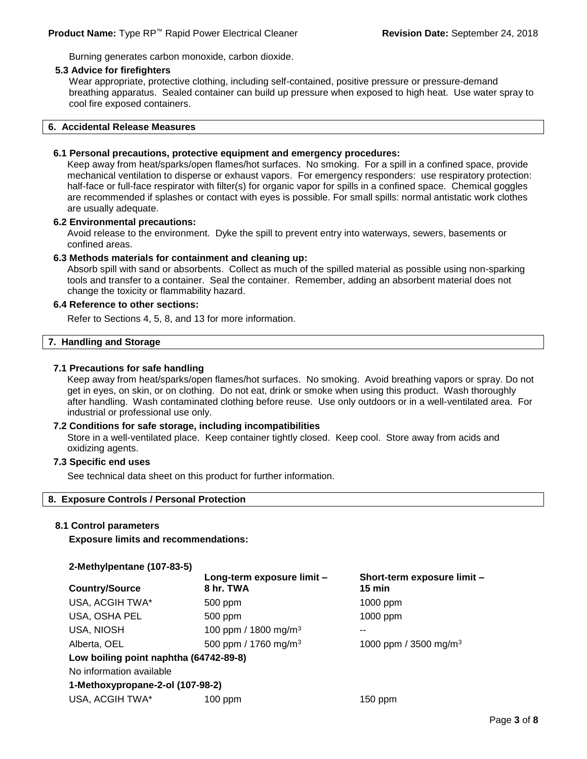Burning generates carbon monoxide, carbon dioxide.

#### **5.3 Advice for firefighters**

Wear appropriate, protective clothing, including self-contained, positive pressure or pressure-demand breathing apparatus. Sealed container can build up pressure when exposed to high heat. Use water spray to cool fire exposed containers.

#### **6. Accidental Release Measures**

## **6.1 Personal precautions, protective equipment and emergency procedures:**

Keep away from heat/sparks/open flames/hot surfaces. No smoking. For a spill in a confined space, provide mechanical ventilation to disperse or exhaust vapors. For emergency responders: use respiratory protection: half-face or full-face respirator with filter(s) for organic vapor for spills in a confined space. Chemical goggles are recommended if splashes or contact with eyes is possible. For small spills: normal antistatic work clothes are usually adequate.

#### **6.2 Environmental precautions:**

Avoid release to the environment. Dyke the spill to prevent entry into waterways, sewers, basements or confined areas.

## **6.3 Methods materials for containment and cleaning up:**

Absorb spill with sand or absorbents. Collect as much of the spilled material as possible using non-sparking tools and transfer to a container. Seal the container. Remember, adding an absorbent material does not change the toxicity or flammability hazard.

## **6.4 Reference to other sections:**

Refer to Sections 4, 5, 8, and 13 for more information.

## **7. Handling and Storage**

## **7.1 Precautions for safe handling**

Keep away from heat/sparks/open flames/hot surfaces. No smoking. Avoid breathing vapors or spray. Do not get in eyes, on skin, or on clothing. Do not eat, drink or smoke when using this product. Wash thoroughly after handling. Wash contaminated clothing before reuse. Use only outdoors or in a well-ventilated area. For industrial or professional use only.

#### **7.2 Conditions for safe storage, including incompatibilities**

Store in a well-ventilated place. Keep container tightly closed. Keep cool. Store away from acids and oxidizing agents.

## **7.3 Specific end uses**

See technical data sheet on this product for further information.

## **8. Exposure Controls / Personal Protection**

#### **8.1 Control parameters**

**Exposure limits and recommendations:**

#### **2-Methylpentane (107-83-5)**

| $=$ $$ $$ $, \cdot$ $\mu$ $\sim$ $$ $\sim$ $\cdot$ $\cdot$ $\sim$ $\cdot$ $\sim$ $\cdot$ $\sim$ $\cdot$ |                                         |                                                 |
|---------------------------------------------------------------------------------------------------------|-----------------------------------------|-------------------------------------------------|
| <b>Country/Source</b>                                                                                   | Long-term exposure limit -<br>8 hr. TWA | Short-term exposure limit -<br>$15 \text{ min}$ |
| USA, ACGIH TWA*                                                                                         | 500 ppm                                 | $1000$ ppm                                      |
| USA, OSHA PEL                                                                                           | 500 ppm                                 | 1000 ppm                                        |
| <b>USA, NIOSH</b>                                                                                       | 100 ppm / 1800 mg/m <sup>3</sup>        | --                                              |
| Alberta, OEL                                                                                            | 500 ppm / 1760 mg/m <sup>3</sup>        | 1000 ppm / 3500 mg/m <sup>3</sup>               |
| Low boiling point naphtha (64742-89-8)                                                                  |                                         |                                                 |
| No information available                                                                                |                                         |                                                 |
| 1-Methoxypropane-2-ol (107-98-2)                                                                        |                                         |                                                 |
| USA, ACGIH TWA*                                                                                         | $100$ ppm                               | $150$ ppm                                       |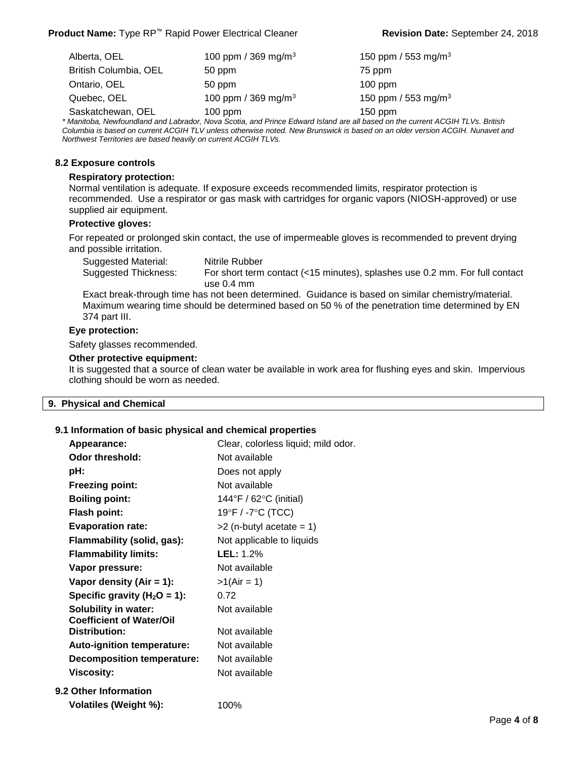| Alberta, OEL          | 100 ppm / 369 mg/m <sup>3</sup> | 150 ppm / 553 mg/m <sup>3</sup> |
|-----------------------|---------------------------------|---------------------------------|
| British Columbia, OEL | 50 ppm                          | 75 ppm                          |
| Ontario, OEL          | 50 ppm                          | $100$ ppm                       |
| Quebec, OEL           | 100 ppm / 369 mg/m <sup>3</sup> | 150 ppm / 553 mg/m <sup>3</sup> |
| Saskatchewan, OEL     | $100$ ppm                       | $150$ ppm                       |

*\* Manitoba, Newfoundland and Labrador, Nova Scotia, and Prince Edward Island are all based on the current ACGIH TLVs. British Columbia is based on current ACGIH TLV unless otherwise noted. New Brunswick is based on an older version ACGIH. Nunavet and Northwest Territories are based heavily on current ACGIH TLVs.*

## **8.2 Exposure controls**

#### **Respiratory protection:**

Normal ventilation is adequate. If exposure exceeds recommended limits, respirator protection is recommended. Use a respirator or gas mask with cartridges for organic vapors (NIOSH-approved) or use supplied air equipment.

## **Protective gloves:**

For repeated or prolonged skin contact, the use of impermeable gloves is recommended to prevent drying and possible irritation.

Suggested Material: Nitrile Rubber Suggested Thickness: For short term contact (<15 minutes), splashes use 0.2 mm. For full contact use 0.4 mm

Exact break-through time has not been determined. Guidance is based on similar chemistry/material. Maximum wearing time should be determined based on 50 % of the penetration time determined by EN 374 part III.

## **Eye protection:**

Safety glasses recommended.

#### **Other protective equipment:**

It is suggested that a source of clean water be available in work area for flushing eyes and skin. Impervious clothing should be worn as needed.

#### **9. Physical and Chemical**

#### **9.1 Information of basic physical and chemical properties**

| Appearance:                                                    | Clear, colorless liquid; mild odor. |
|----------------------------------------------------------------|-------------------------------------|
| Odor threshold:                                                | Not available                       |
| pH:                                                            | Does not apply                      |
| <b>Freezing point:</b>                                         | Not available                       |
| <b>Boiling point:</b>                                          | 144°F / 62°C (initial)              |
| <b>Flash point:</b>                                            | 19°F / -7°C (TCC)                   |
| <b>Evaporation rate:</b>                                       | $>2$ (n-butyl acetate = 1)          |
| Flammability (solid, gas):                                     | Not applicable to liquids           |
| <b>Flammability limits:</b>                                    | LEL: 1.2%                           |
| Vapor pressure:                                                | Not available                       |
| Vapor density (Air = 1):                                       | $>1(Air = 1)$                       |
| Specific gravity ( $H_2O = 1$ ):                               | 0.72                                |
| <b>Solubility in water:</b><br><b>Coefficient of Water/Oil</b> | Not available                       |
| <b>Distribution:</b>                                           | Not available                       |
| <b>Auto-ignition temperature:</b>                              | Not available                       |
| <b>Decomposition temperature:</b>                              | Not available                       |
| <b>Viscosity:</b>                                              | Not available                       |
| <b>9.2 Other Information</b>                                   |                                     |
| Volatiles (Weight %):                                          | 100%                                |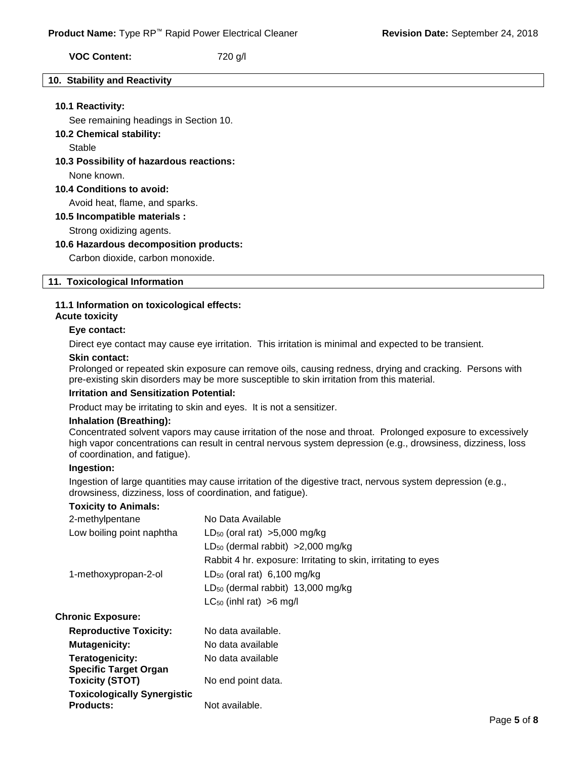**VOC Content:** 720 g/l

#### **10. Stability and Reactivity**

### **10.1 Reactivity:**

See remaining headings in Section 10.

#### **10.2 Chemical stability:**

Stable

## **10.3 Possibility of hazardous reactions:**

None known.

## **10.4 Conditions to avoid:**

Avoid heat, flame, and sparks.

**10.5 Incompatible materials :**

Strong oxidizing agents.

#### **10.6 Hazardous decomposition products:**

Carbon dioxide, carbon monoxide.

#### **11. Toxicological Information**

## **11.1 Information on toxicological effects:**

# **Acute toxicity**

#### **Eye contact:**

Direct eye contact may cause eye irritation. This irritation is minimal and expected to be transient.

#### **Skin contact:**

Prolonged or repeated skin exposure can remove oils, causing redness, drying and cracking. Persons with pre-existing skin disorders may be more susceptible to skin irritation from this material.

## **Irritation and Sensitization Potential:**

Product may be irritating to skin and eyes. It is not a sensitizer.

## **Inhalation (Breathing):**

Concentrated solvent vapors may cause irritation of the nose and throat. Prolonged exposure to excessively high vapor concentrations can result in central nervous system depression (e.g., drowsiness, dizziness, loss of coordination, and fatigue).

#### **Ingestion:**

Ingestion of large quantities may cause irritation of the digestive tract, nervous system depression (e.g., drowsiness, dizziness, loss of coordination, and fatigue).

### **Toxicity to Animals:**

| 2-methylpentane                                        | No Data Available                                             |
|--------------------------------------------------------|---------------------------------------------------------------|
| Low boiling point naphtha                              | $LD_{50}$ (oral rat) >5,000 mg/kg                             |
|                                                        | $LD_{50}$ (dermal rabbit) > 2,000 mg/kg                       |
|                                                        | Rabbit 4 hr. exposure: Irritating to skin, irritating to eyes |
| 1-methoxypropan-2-ol                                   | $LD_{50}$ (oral rat) 6,100 mg/kg                              |
|                                                        | $LD_{50}$ (dermal rabbit) 13,000 mg/kg                        |
|                                                        | $LC_{50}$ (inhl rat) >6 mg/l                                  |
| <b>Chronic Exposure:</b>                               |                                                               |
| <b>Reproductive Toxicity:</b>                          | No data available.                                            |
| <b>Mutagenicity:</b>                                   | No data available                                             |
| Teratogenicity:                                        | No data available                                             |
| <b>Specific Target Organ</b>                           |                                                               |
| <b>Toxicity (STOT)</b>                                 | No end point data.                                            |
| <b>Toxicologically Synergistic</b><br><b>Products:</b> | Not available.                                                |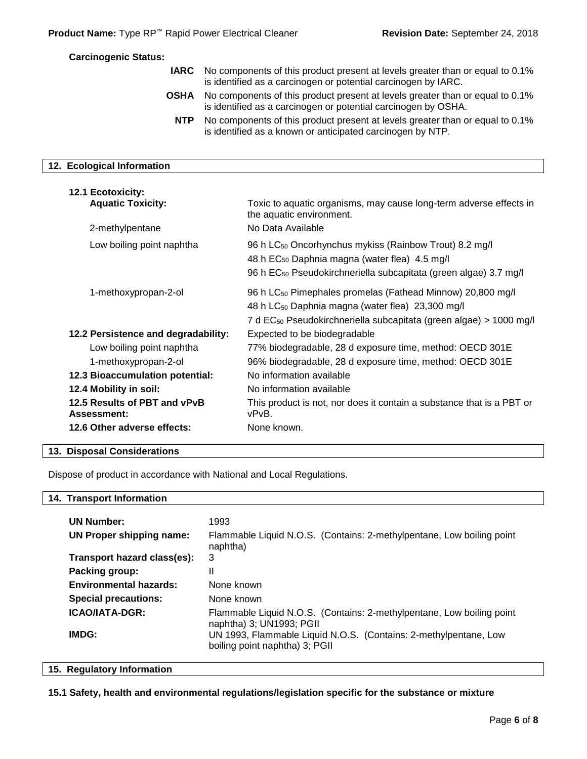#### **Carcinogenic Status:**

- **IARC** No components of this product present at levels greater than or equal to 0.1% is identified as a carcinogen or potential carcinogen by IARC.
	- **OSHA** No components of this product present at levels greater than or equal to 0.1% is identified as a carcinogen or potential carcinogen by OSHA.
	- **NTP** No components of this product present at levels greater than or equal to 0.1% is identified as a known or anticipated carcinogen by NTP.

## **12. Ecological Information**

| <b>12.1 Ecotoxicity:</b><br><b>Aquatic Toxicity:</b> | Toxic to aquatic organisms, may cause long-term adverse effects in                                                                                                                                                       |
|------------------------------------------------------|--------------------------------------------------------------------------------------------------------------------------------------------------------------------------------------------------------------------------|
|                                                      | the aquatic environment.                                                                                                                                                                                                 |
| 2-methylpentane                                      | No Data Available                                                                                                                                                                                                        |
| Low boiling point naphtha                            | 96 h LC <sub>50</sub> Oncorhynchus mykiss (Rainbow Trout) 8.2 mg/l<br>48 h EC <sub>50</sub> Daphnia magna (water flea) 4.5 mg/l<br>96 h EC <sub>50</sub> Pseudokirchneriella subcapitata (green algae) 3.7 mg/l          |
| 1-methoxypropan-2-ol                                 | 96 h LC <sub>50</sub> Pimephales promelas (Fathead Minnow) 20,800 mg/l<br>48 h LC <sub>50</sub> Daphnia magna (water flea) 23,300 mg/l<br>7 d EC <sub>50</sub> Pseudokirchneriella subcapitata (green algae) > 1000 mg/l |
| 12.2 Persistence and degradability:                  | Expected to be biodegradable                                                                                                                                                                                             |
| Low boiling point naphtha                            | 77% biodegradable, 28 d exposure time, method: OECD 301E                                                                                                                                                                 |
| 1-methoxypropan-2-ol                                 | 96% biodegradable, 28 d exposure time, method: OECD 301E                                                                                                                                                                 |
| <b>12.3 Bioaccumulation potential:</b>               | No information available                                                                                                                                                                                                 |
| 12.4 Mobility in soil:                               | No information available                                                                                                                                                                                                 |
| 12.5 Results of PBT and vPvB<br><b>Assessment:</b>   | This product is not, nor does it contain a substance that is a PBT or<br>vPvB.                                                                                                                                           |
| 12.6 Other adverse effects:                          | None known.                                                                                                                                                                                                              |

#### **13. Disposal Considerations**

Dispose of product in accordance with National and Local Regulations.

#### **14. Transport Information**

| <b>UN Number:</b>             | 1993                                                                                               |
|-------------------------------|----------------------------------------------------------------------------------------------------|
| UN Proper shipping name:      | Flammable Liquid N.O.S. (Contains: 2-methylpentane, Low boiling point<br>naphtha)                  |
| Transport hazard class(es):   | 3                                                                                                  |
| Packing group:                | Ш                                                                                                  |
| <b>Environmental hazards:</b> | None known                                                                                         |
| <b>Special precautions:</b>   | None known                                                                                         |
| <b>ICAO/IATA-DGR:</b>         | Flammable Liquid N.O.S. (Contains: 2-methylpentane, Low boiling point<br>naphtha) 3; UN1993; PGII  |
| IMDG:                         | UN 1993, Flammable Liquid N.O.S. (Contains: 2-methylpentane, Low<br>boiling point naphtha) 3; PGII |

#### **15. Regulatory Information**

## **15.1 Safety, health and environmental regulations/legislation specific for the substance or mixture**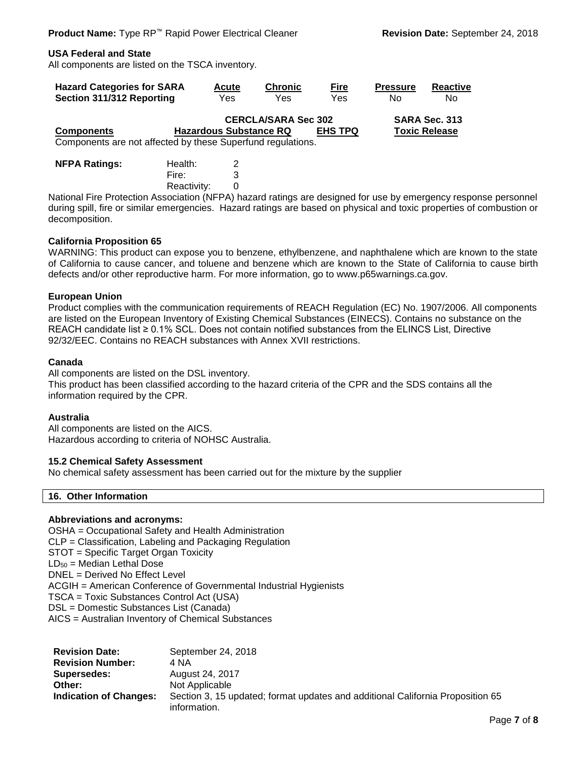## **USA Federal and State**

All components are listed on the TSCA inventory.

| <b>Hazard Categories for SARA</b>                           | <b>Acute</b>                  | <b>Chronic</b>             | <u>Fire</u>    | <b>Pressure</b> | Reactive             |
|-------------------------------------------------------------|-------------------------------|----------------------------|----------------|-----------------|----------------------|
| Section 311/312 Reporting                                   | Yes                           | Yes                        | Yes            | N٥              | N <sub>0</sub>       |
|                                                             |                               | <b>CERCLA/SARA Sec 302</b> |                |                 | SARA Sec. 313        |
| <b>Components</b>                                           | <b>Hazardous Substance RQ</b> |                            | <b>EHS TPQ</b> |                 | <b>Toxic Release</b> |
| Components are not affected by these Superfund regulations. |                               |                            |                |                 |                      |

| <b>NFPA Ratings:</b> | Health:     | 2 |
|----------------------|-------------|---|
|                      | Fire:       | 3 |
|                      | Reactivity: | 0 |

National Fire Protection Association (NFPA) hazard ratings are designed for use by emergency response personnel during spill, fire or similar emergencies. Hazard ratings are based on physical and toxic properties of combustion or decomposition.

#### **California Proposition 65**

WARNING: This product can expose you to benzene, ethylbenzene, and naphthalene which are known to the state of California to cause cancer, and toluene and benzene which are known to the State of California to cause birth defects and/or other reproductive harm. For more information, go to www.p65warnings.ca.gov.

#### **European Union**

Product complies with the communication requirements of REACH Regulation (EC) No. 1907/2006. All components are listed on the European Inventory of Existing Chemical Substances (EINECS). Contains no substance on the REACH candidate list ≥ 0.1% SCL. Does not contain notified substances from the ELINCS List, Directive 92/32/EEC. Contains no REACH substances with Annex XVII restrictions.

#### **Canada**

All components are listed on the DSL inventory.

This product has been classified according to the hazard criteria of the CPR and the SDS contains all the information required by the CPR.

#### **Australia**

All components are listed on the AICS. Hazardous according to criteria of NOHSC Australia.

## **15.2 Chemical Safety Assessment**

No chemical safety assessment has been carried out for the mixture by the supplier

## **16. Other Information**

## **Abbreviations and acronyms:**

OSHA = Occupational Safety and Health Administration CLP = Classification, Labeling and Packaging Regulation STOT = Specific Target Organ Toxicity LD<sup>50</sup> = Median Lethal Dose DNEL = Derived No Effect Level ACGIH = American Conference of Governmental Industrial Hygienists TSCA = Toxic Substances Control Act (USA) DSL = Domestic Substances List (Canada) AICS = Australian Inventory of Chemical Substances

| <b>Revision Date:</b>         | September 24, 2018                                                             |
|-------------------------------|--------------------------------------------------------------------------------|
| <b>Revision Number:</b>       | 4 NA                                                                           |
| Supersedes:                   | August 24, 2017                                                                |
| Other:                        | Not Applicable                                                                 |
| <b>Indication of Changes:</b> | Section 3, 15 updated; format updates and additional California Proposition 65 |
|                               | information.                                                                   |